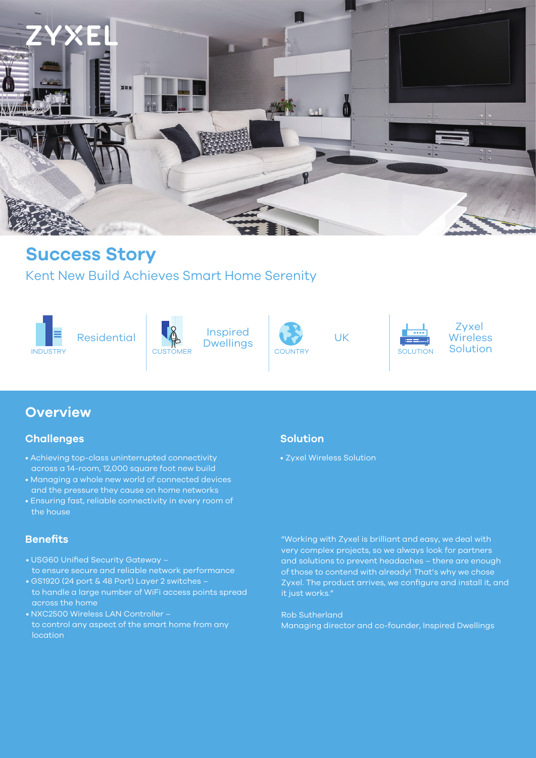

## **Success Story**

Kent New Build Achieves Smart Home Serenity









UK



Zyxel **Wireless** 

### **Overview**

### **Challenges**

- Achieving top-class uninterrupted connectivity across a 14-room, 12,000 square foot new build
- Managing a whole new world of connected devices and the pressure they cause on home networks
- Ensuring fast, reliable connectivity in every room of the house

### **Benefits**

- USG60 Unified Security Gateway to ensure secure and reliable network performance
- GS1920 (24 port & 48 Port) Layer 2 switches to handle a large number of WiFi access points spread across the home
- NXC2500 Wireless LAN Controller to control any aspect of the smart home from any location

### **Solution**

• Zyxel Wireless Solution

"Working with Zyxel is brilliant and easy, we deal with very complex projects, so we always look for partners and solutions to prevent headaches – there are enough of those to contend with already! That's why we chose Zyxel. The product arrives, we configure and install it, and it just works."

Rob Sutherland Managing director and co-founder, Inspired Dwellings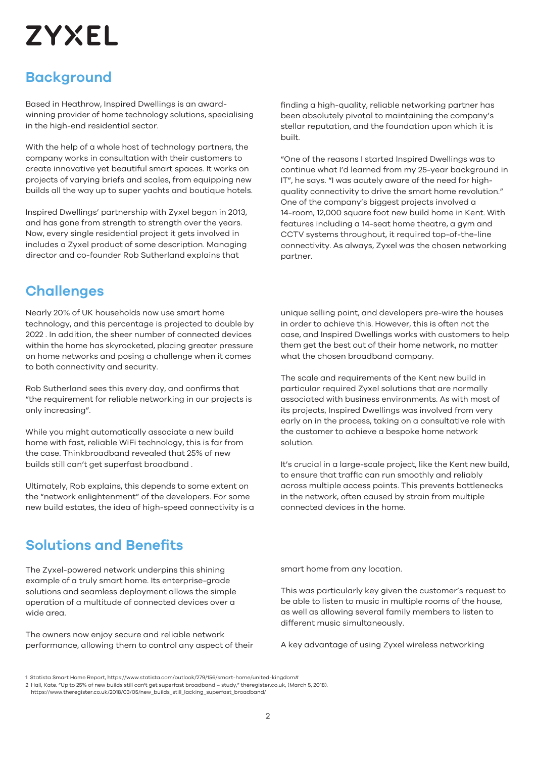# **ZYXEL**

## **Background**

Based in Heathrow, Inspired Dwellings is an awardwinning provider of home technology solutions, specialising in the high-end residential sector.

With the help of a whole host of technology partners, the company works in consultation with their customers to create innovative yet beautiful smart spaces. It works on projects of varying briefs and scales, from equipping new builds all the way up to super yachts and boutique hotels.

Inspired Dwellings' partnership with Zyxel began in 2013, and has gone from strength to strength over the years. Now, every single residential project it gets involved in includes a Zyxel product of some description. Managing director and co-founder Rob Sutherland explains that

finding a high-quality, reliable networking partner has been absolutely pivotal to maintaining the company's stellar reputation, and the foundation upon which it is built.

"One of the reasons I started Inspired Dwellings was to continue what I'd learned from my 25-year background in IT", he says. "I was acutely aware of the need for highquality connectivity to drive the smart home revolution." One of the company's biggest projects involved a 14-room, 12,000 square foot new build home in Kent. With features including a 14-seat home theatre, a gym and CCTV systems throughout, it required top-of-the-line connectivity. As always, Zyxel was the chosen networking partner.

### **Challenges**

Nearly 20% of UK households now use smart home technology, and this percentage is projected to double by 2022 . In addition, the sheer number of connected devices within the home has skyrocketed, placing greater pressure on home networks and posing a challenge when it comes to both connectivity and security.

Rob Sutherland sees this every day, and confirms that "the requirement for reliable networking in our projects is only increasing".

While you might automatically associate a new build home with fast, reliable WiFi technology, this is far from the case. Thinkbroadband revealed that 25% of new builds still can't get superfast broadband .

Ultimately, Rob explains, this depends to some extent on the "network enlightenment" of the developers. For some new build estates, the idea of high-speed connectivity is a unique selling point, and developers pre-wire the houses in order to achieve this. However, this is often not the case, and Inspired Dwellings works with customers to help them get the best out of their home network, no matter what the chosen broadband company.

The scale and requirements of the Kent new build in particular required Zyxel solutions that are normally associated with business environments. As with most of its projects, Inspired Dwellings was involved from very early on in the process, taking on a consultative role with the customer to achieve a bespoke home network solution.

It's crucial in a large-scale project, like the Kent new build, to ensure that traffic can run smoothly and reliably across multiple access points. This prevents bottlenecks in the network, often caused by strain from multiple connected devices in the home.

## **Solutions and Benefits**

The Zyxel-powered network underpins this shining example of a truly smart home. Its enterprise-grade solutions and seamless deployment allows the simple operation of a multitude of connected devices over a wide area.

The owners now enjoy secure and reliable network performance, allowing them to control any aspect of their smart home from any location.

This was particularly key given the customer's request to be able to listen to music in multiple rooms of the house, as well as allowing several family members to listen to different music simultaneously.

A key advantage of using Zyxel wireless networking

<sup>1</sup> Statista Smart Home Report, https://www.statista.com/outlook/279/156/smart-home/united-kingdom#

<sup>2</sup> Hall, Kate. "Up to 25% of new builds still can't get superfast broadband – study," theregister.co.uk, (March 5, 2018).

https://www.theregister.co.uk/2018/03/05/new\_builds\_still\_lacking\_superfast\_broadband/